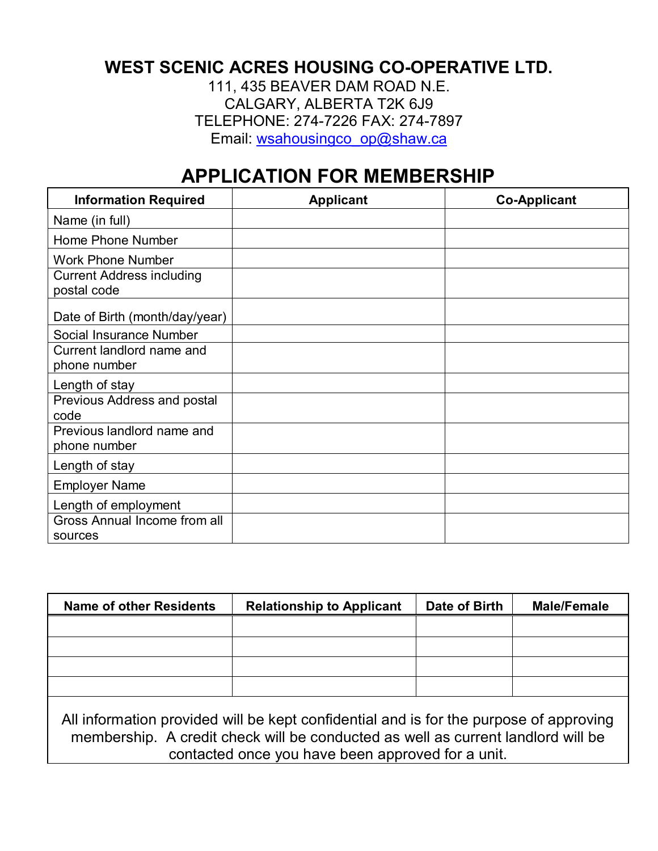## **WEST SCENIC ACRES HOUSING CO-OPERATIVE LTD.**

111, 435 BEAVER DAM ROAD N.E. CALGARY, ALBERTA T2K 6J9 TELEPHONE: 274-7226 FAX: 274-7897 Email: wsahousingco\_op@shaw.ca

## **APPLICATION FOR MEMBERSHIP**

| <b>Information Required</b>                     | <b>Applicant</b> | <b>Co-Applicant</b> |
|-------------------------------------------------|------------------|---------------------|
| Name (in full)                                  |                  |                     |
| Home Phone Number                               |                  |                     |
| <b>Work Phone Number</b>                        |                  |                     |
| <b>Current Address including</b><br>postal code |                  |                     |
| Date of Birth (month/day/year)                  |                  |                     |
| Social Insurance Number                         |                  |                     |
| Current landlord name and<br>phone number       |                  |                     |
| Length of stay                                  |                  |                     |
| Previous Address and postal<br>code             |                  |                     |
| Previous landlord name and<br>phone number      |                  |                     |
| Length of stay                                  |                  |                     |
| <b>Employer Name</b>                            |                  |                     |
| Length of employment                            |                  |                     |
| Gross Annual Income from all<br>sources         |                  |                     |

| <b>Name of other Residents</b>                                                                                                                                                                                                  | <b>Relationship to Applicant</b> | Date of Birth | <b>Male/Female</b> |
|---------------------------------------------------------------------------------------------------------------------------------------------------------------------------------------------------------------------------------|----------------------------------|---------------|--------------------|
|                                                                                                                                                                                                                                 |                                  |               |                    |
|                                                                                                                                                                                                                                 |                                  |               |                    |
|                                                                                                                                                                                                                                 |                                  |               |                    |
|                                                                                                                                                                                                                                 |                                  |               |                    |
| All information provided will be kept confidential and is for the purpose of approving<br>membership. A credit check will be conducted as well as current landlord will be<br>contacted once you have been approved for a unit. |                                  |               |                    |